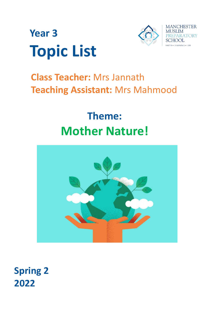



# **Class Teacher:** Mrs Jannath **Teaching Assistant:** Mrs Mahmood

# **Theme: Mother Nature!**



**Spring 2 2022**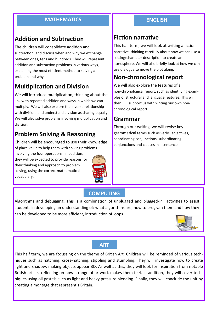### **MATHEMATICS ENGLISH**

# **Addition and Subtraction**

The children will consolidate addition and subtraction, and discuss when and why we exchange between ones, tens and hundreds. They will represent addition and subtraction problems in various ways, explaining the most efficient method to solving a problem and why.

# **Multiplication and Division**

We will introduce multiplication, thinking about the link with repeated addition and ways in which we can multiply. We will also explore the inverse relationship with division, and understand division as sharing equally. We will also solve problems involving multiplication and division.

# **Problem Solving & Reasoning**

Children will be encouraged to use their knowledge of place value to help them with solving problems

involving the four operations. In addition, they will be expected to provide reasons for their thinking and approach to problem solving, using the correct mathematical vocabulary.



# **Fiction narrative**

This half term, we will look at writing a fiction narrative, thinking carefully about how we can use a setting/character description to create an atmosphere. We will also briefly look at how we can use dialogue to move the plot along.

# **Non-chronological report**

We will also explore the features of a non-chronological report, such as identifying examples of structural and language features. This will then support us with writing our own nonchronological report.

# **Grammar**

Through our writing, we will revise key grammatical terms such as verbs, adjectives, coordinating conjunctions, subordinating conjunctions and clauses in a sentence.

## **COMPUTING**

Algorithms and debugging: This is a combination of unplugged and plugged-in activities to assist students in developing an understanding of: what algorithms are, how to program them and how they can be developed to be more efficient, introduction of loops.



#### **ART**

This half term, we are focussing on the theme of British Art. Children will be reminded of various techniques such as hatching, cross-hatching, stippling and stumbling. They will investigate how to create light and shadow, making objects appear 3D. As well as this, they will look for inspiration from notable British artists, reflecting on how a range of artwork makes them feel. In addition, they will cover techniques using oil pastels such as light and heavy pressure blending. Finally, they will conclude the unit by creating a montage that represent s Britain.